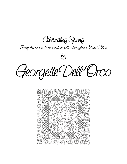**Celebrating Spring**

**Examples of what can be done with a triangle in Art and Stitch**

**by Georgette Dell' Orco**

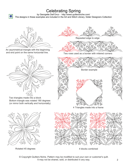## Celebrating Spring

by Georgette Dell'Orco - http://www.quiltersniche.com/ The designs in these examples are included in the Art and Stitch Library, folder Designers Collection



₩

An asymmetrical triangle with the beginning and end point on the same horizontal line.



Two triangles made into a block Bottom triangle was rotated 180 degrees (or mirror both vertically and horizontally)



Rotated 45 degrees



Repeated edge to edge



Two rows used as a border with mitered corners



4 Triangles made into a frame



4 blocks combined

© Copyright Quilters Niche. Pattern may be modified to suit your own or customer's quilt. It may not be shared, sold, or distributed in any way. 2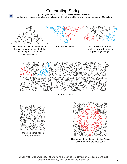## Celebrating Spring

by Georgette Dell'Orco - http://www.quiltersniche.com/ The designs in these examples are included in the Art and Stitch Library, folder Designers Collection



R.

This triangle is almost the same as the previous one, except that the beginning and end points have been moved.





Triangle split in half The 2 halves added to a complete triangle to make an edge to edge design.



Used edge to edge



4 triangles combined into one large block



The same block placed into the frame pictured on the previous page

© Copyright Quilters Niche. Pattern may be modified to suit your own or customer's quilt. It may not be shared, sold, or distributed in any way. 3